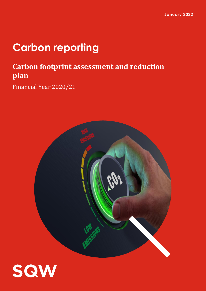# **Carbon reporting**

## **Carbon footprint assessment and reduction plan**

Financial Year 2020/21



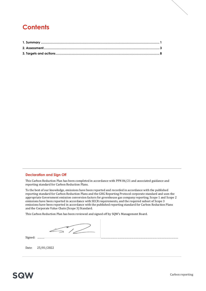## **Contents**

#### **Declaration and Sign Off**

This Carbon Reduction Plan has been completed in accordance with PPN 06/21 and associated guidance and reporting standard for Carbon Reduction Plans.

To the best of our knowledge, emissions have been reported and recorded in accordance with the published reporting standard for Carbon Reduction Plans and the GHG Reporting Protocol corporate standard and uses the appropriate Government emission conversion factors for greenhouse gas company reporting. Scope 1 and Scope 2 emissions have been reported in accordance with SECR requirements, and the required subset of Scope 3 emissions have been reported in accordance with the published reporting standard for Carbon Reduction Plans and the Corporate Value Chain (Scope 3) Standard.

This Carbon Reduction Plan has been reviewed and signed off by SQW's Management Board.

 $\mathbb{Z}/\mathbb{Z}$ 

Signed: ……… ………………………………………………………………………………………

Date: 25/01/2022

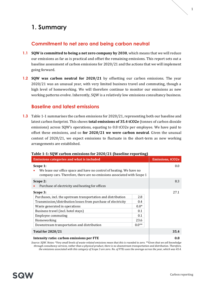## <span id="page-2-0"></span>**1. Summary**

#### **Commitment to net zero and being carbon neutral**

- **1.1 SQW is committed to being a net zero company by 2030**, which means that we will reduce our emissions as far as is practical and offset the remaining emissions. This report sets out a baseline assessment of carbon emissions for 2020/21 and the actions that we will implement going forward.
- **1.2 SQW was carbon neutral for 2020/21** by offsetting our carbon emissions. The year 2020/21 was an unusual year, with very limited business travel and commuting, though a high level of homeworking. We will therefore continue to monitor our emissions as new working patterns evolve. Inherently, SQW is a relatively low emissions consultancy business.

#### **Baseline and latest emissions**

**1.3** [Table 1-1](#page-2-1) summarises the carbon emissions for 2020/21, representing both our baseline and latest carbon footprint. This shows **total emissions of 35.4 tCO2e** (tonnes of carbon dioxide emissions) across SQW's operations, equating to 0.8 tCO2e per employee. We have paid to offset these emissions, and so **for 2020/21 we were carbon neutral**. Given the unusual context of 2020/21, we expect emissions to fluctuate in the short-term as new working arrangements are established.

| Table 1-1. SQ W Carbon emissions for 2020/21 (baseline reporting)                                                                                                                                                                                                                                            |                                                       |                         |
|--------------------------------------------------------------------------------------------------------------------------------------------------------------------------------------------------------------------------------------------------------------------------------------------------------------|-------------------------------------------------------|-------------------------|
| <b>Emissions categories and what is included</b>                                                                                                                                                                                                                                                             |                                                       | <b>Emissions, tCO2e</b> |
| Scope 1:<br>We lease our office space and have no control of heating. We have no<br>company cars. Therefore, there are no emissions associated with Scope 1                                                                                                                                                  |                                                       | 0.0                     |
| Scope 2:<br>Purchase of electricity and heating for offices                                                                                                                                                                                                                                                  |                                                       | 8.3                     |
| Scope 3:<br>Purchases, incl. the upstream transportation and distribution<br>Transmission/distribution losses from purchase of electricity<br>Waste generated in operations<br>Business travel (incl. hotel stays)<br><b>Employee commuting</b><br>Homeworking<br>Downstream transportation and distribution | 2.8<br>0.4<br>$0.0*$<br>0.1<br>0.1<br>23.6<br>$0.0**$ | 27.1                    |
| <b>Total for 2020/21</b>                                                                                                                                                                                                                                                                                     |                                                       | 35.4                    |
| Intensity ratio: carbon emissions per FTE                                                                                                                                                                                                                                                                    |                                                       | 0.8                     |

#### <span id="page-2-1"></span>**Table 1-1: SQW carbon emissions for 2020/21 (baseline reporting)**

*Source: SQW. Notes: \*Very small levels of waste-related emissions mean that this is rounded to zero. \*\*Given that we sell knowledge through consultancy services, rather than a physical product, there is no downstream transportation and distribution. Therefore, the emissions associated with this category of Scope 3 are zero. No. of FTEs uses the average across the year, which was 45.4.*

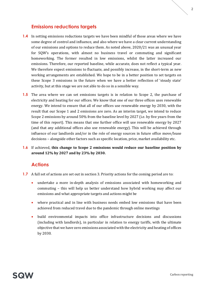#### **Emissions reductions targets**

- **1.4** In setting emissions reductions targets we have been mindful of those areas where we have some degree of control and influence, and also where we have a clear current understanding of our emissions and options to reduce them. As noted above, 2020/21 was an unusual year for SQW's operations, with almost no business travel or commuting and significant homeworking. The former resulted in low emissions, whilst the latter increased our emissions. Therefore, our reported baseline, while accurate, does not reflect a typical year. We therefore expect emissions to fluctuate, and possibly increase, in the short-term as new working arrangements are established. We hope to be in a better position to set targets on these Scope 3 emissions in the future when we have a better reflection of 'steady state' activity, but at this stage we are not able to do so in a sensible way.
- **1.5** The area where we can set emissions targets is in relation to Scope 2, the purchase of electricity and heating for our offices. We know that one of our three offices uses renewable energy. We intend to ensure that all of our offices use renewable energy by 2030, with the result that our Scope 1 and 2 emissions are zero. As an interim target, we intend to reduce Scope 2 emissions by around 50% from the baseline level by 2027 (i.e. by five years from the time of this report). This means that one further office will use renewable energy by 2027 (and that any additional offices also use renewable energy). This will be achieved through influence of our landlords and/or in the role of energy sources in future office move/lease decisions – alongside other factors such as specific location, price, market availability etc.
- **1.6** If achieved, **this change to Scope 2 emissions would reduce our baseline position by around 12% by 2027 and by 23% by 2030.**

#### **Actions**

- **1.7** A full set of actions are set out in section 3. Priority actions for the coming period are to:
	- undertake a more in-depth analysis of emissions associated with homeworking and commuting – this will help us better understand how hybrid working may affect our emissions and what appropriate targets and actions might be
	- where practical and in line with business needs embed low emissions that have been achieved from reduced travel due to the pandemic through online meetings
	- build environmental impacts into office infrastructure decisions and discussions (including with landlords), in particular in relation to energy tariffs, with the ultimate objective that we have zero emissions associated with the electricity and heating of offices by 2030.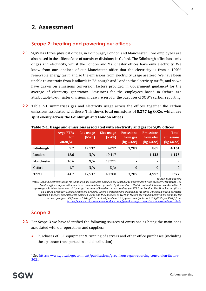## <span id="page-4-0"></span>**2. Assessment**

#### **Scope 2: heating and powering our offices**

- **2.1** SOW has three physical offices, in Edinburgh, London and Manchester. Two employees are also based in the office of one of our sister divisions, in Oxford. The Edinburgh office has a mix of gas and electricity, whilst the London and Manchester offices have only electricity. We know from our landlord of our Manchester office that the electricity is from a 100% renewable energy tariff, and so the emissions from electricity usage are zero. We have been unable to ascertain from landlords in Edinburgh and London the electricity tariffs, and so we have drawn on emissions conversion factors provided in Government guidance<sup>1</sup> for the average of electricity generation. Emissions for the employees based in Oxford are attributable to our sister divisions and so are zero for the purposes of SQW's carbon reporting.
- **2.2** [Table 2-1](#page-4-1) summarises gas and electricity usage across the offices, together the carbon emissions associated with these. This shows **total emissions of 8,277 kg CO2e, which are split evenly across the Edinburgh and London offices**.

|              | <b>Avge FTEs</b><br>for<br>2020/21 | <b>Gas usage</b><br>(kWh) | <b>Elec</b> usage<br>(kWh) | <b>Emissions</b><br>from gas<br>(kg CO <sub>2e</sub> ) | <b>Emissions</b><br>from elec<br>(kg CO <sub>2e</sub> ) | <b>Total</b><br>emissions<br>$\left(\frac{\text{kg CO2e}}{\text{kg CO2e}}\right)$ |
|--------------|------------------------------------|---------------------------|----------------------------|--------------------------------------------------------|---------------------------------------------------------|-----------------------------------------------------------------------------------|
| Edinburgh    | 7.7                                | 17,937                    | 4,092                      | 3,285                                                  | 869                                                     | 4,154                                                                             |
| London       | 18.6                               | N/A                       | 19,417                     |                                                        | 4,123                                                   | 4,123                                                                             |
| Manchester   | 16.6                               | N/A                       | 17,271                     | ۰                                                      | ۰                                                       |                                                                                   |
| Oxford       | 1.7                                | N/A                       | N/A                        | $\bf{0}$                                               | $\boldsymbol{0}$                                        | $\bf{0}$                                                                          |
| <b>Total</b> | 44.7                               | 17,937                    | 40,780                     | 3,285                                                  | 4,992                                                   | 8,277                                                                             |

<span id="page-4-1"></span>**Table 2-1: Usage and emissions associated with electricity and gas for SQW offices**

*Source: SQW analysis*

*Notes: Gas and electricity usage for Edinburgh are estimated based on the costs due to us provided by the property's landlords. The London office usage is estimated based on breakdowns provided by the landlords that do not match to our own April-March reporting cycle. Manchester electricity usage is estimated based on actual use data per FTE from London. The Manchester office is on a 100% green tariff, and so emissions are zero. Oxford's emissions are excluded as the office is included within our sister divisions. Emissions are calculated based on usage and the emissions conversion factors provided in Government guidance for natural gas (gross CV factor is 0.18 kgCO2e per kWh) and electricity generated (factor is 0.21 kgCO2e per KWh) from <https://www.gov.uk/government/publications/greenhouse-gas-reporting-conversion-factors-2021>*

## **Scope 3**

- **2.3** For Scope 3 we have identified the following sources of emissions as being the main ones associated with our operations and supplies:
	- Purchases of ICT equipment & running of servers and other office purchases (including the upstream transportation and distribution)

<sup>1</sup> Se[e https://www.gov.uk/government/publications/greenhouse-gas-reporting-conversion-factors-](https://www.gov.uk/government/publications/greenhouse-gas-reporting-conversion-factors-2021)[2021](https://www.gov.uk/government/publications/greenhouse-gas-reporting-conversion-factors-2021)

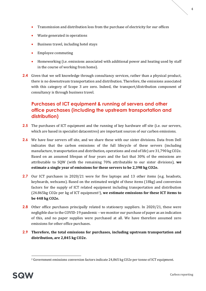- Transmission and distribution loss from the purchase of electricity for our offices
- Waste generated in operations
- Business travel, including hotel stays
- Employee commuting
- Homeworking (i.e. emissions associated with additional power and heating used by staff in the course of working from home).
- **2.4** Given that we sell knowledge through consultancy services, rather than a physical product, there is no downstream transportation and distribution. Therefore, the emissions associated with this category of Scope 3 are zero. Indeed, the transport/distribution component of consultancy is through business travel.

### **Purchases of ICT equipment & running of servers and other office purchases (including the upstream transportation and distribution)**

- **2.5** The purchases of ICT equipment and the running of key hardware off site (i.e. our servers, which are based in specialist datacentres) are important sources of our carbon emissions.
- **2.6** We have four servers off site, and we share these with our sister divisions. Data from Dell indicates that the carbon emissions of the full lifecycle of these servers (including manufacture, transportation and distribution, operations and end of life) are 31,790 kg CO2e. Based on an assumed lifespan of four years and the fact that 30% of the emissions are attributable to SQW (with the remaining 70% attributable to our sister divisions), **we estimate a single year of emissions for these servers to be 2,398 kg CO2e.**
- **2.7** Our ICT purchases in 2020/21 were for five laptops and 13 other items (e.g. headsets, keyboards, webcams). Based on the estimated weight of these items (18kg) and conversion factors for the supply of ICT related equipment including transportation and distribution (24.865kg CO2e per kg of ICT equipment2), **we estimate emissions for these ICT items to be 448 kg CO2e.**
- **2.8** Other office purchases principally related to stationery suppliers. In 2020/21, these were negligible due to the COVID-19 pandemic – we monitor our purchase of paper as an indication of this, and no paper supplies were purchased at all. We have therefore assumed zero emissions for other office purchases.
- **2.9 Therefore, the total emissions for purchases, including upstream transportation and distribution, are 2,845 kg CO2e.**

<sup>2</sup> Government emissions conversion factors indicate 24,865 kg CO2e per tonne of ICT equipment.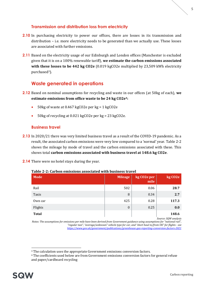#### **Transmission and distribution loss from electricity**

- **2.10** In purchasing electricity to power our offices, there are losses in its transmission and distribution – i.e. more electricity needs to be generated than we actually use. These losses are associated with further emissions.
- **2.11** Based on the electricity usage of our Edinburgh and London offices (Manchester is excluded given that it is on a 100% renewable tariff), **we estimate the carbon emissions associated with these losses to be 442 kg CO2e** (0.019 kgCO2e multiplied by 23,509 kWh electricity purchased3).

#### **Waste generated in operations**

- **2.12** Based on nominal assumptions for recycling and waste in our offices (at 50kg of each), **we estimate emissions from office waste to be 24 kg CO2e4:**
	- 50kg of waste at 0.467 kgCO2e per kg = 1 kgCO2e
	- 50kg of recycling at 0.021 kgCO2e per kg = 23 kgCO2e.

#### **Business travel**

- **2.13** In 2020/21 there was very limited business travel as a result of the COVID-19 pandemic. As a result, the associated carbon emissions were very low compared to a 'normal' year. [Table 2-2](#page-6-0) shows the mileage by mode of travel and the carbon emissions associated with these. This shows total **carbon emissions associated with business travel at 148.6 kg CO2e**.
- **2.14** There were no hotel stays during the year.

#### <span id="page-6-0"></span>**Table 2-2: Carbon emissions associated with business travel**

| <b>Mode</b>  | Mileage          | kg CO <sub>2</sub> e per<br>mile | kg CO <sub>2</sub> e |
|--------------|------------------|----------------------------------|----------------------|
| Rail         | 502              | 0.06                             | 28.7                 |
| Taxis        | 8                | 0.34                             | 2.7                  |
| Own car      | 425              | 0.28                             | 117.3                |
| Flights      | $\boldsymbol{0}$ | 0.25                             | 0.0                  |
| <b>Total</b> |                  |                                  | 148.6                |

*Source: SQW analysis*

*Notes: The assumptions for emissions per mile have been derived from Government guidance using assumptions for "national rail", "regular taxi", "average/unknown" vehicle type for car, and "short haul to/from UK" for flights - see <https://www.gov.uk/government/publications/greenhouse-gas-reporting-conversion-factors-2021>*

<sup>&</sup>lt;sup>3</sup> The calculation uses the appropriate Government emissions conversion factors.

<sup>4</sup> The coefficients used below are from Government emissions conversion factors for general refuse and paper/cardboard recycling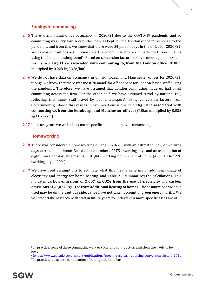#### **Employee commuting**

- **2.15** There was minimal office occupancy in 2020/21 due to the COVID-19 pandemic, and so commuting was very low. A calendar log was kept for the London office in response to the pandemic, and from this we know that there were 54 person days in the office for 2020/21. We have used cautious assumptions of a 15km commute (there and back) for this occupancy using the London underground<sup>5</sup>. Based on conversion factors in Government guidance<sup>6</sup>, this results in **23 kg CO2e associated with commuting to/from the London office** (810km multiplied by 0.028 kg CO2e/km).
- **2.16** We do not have data on occupancy in our Edinburgh and Manchester offices for 2020/21, though we know that there was most 'demand' for office space for London-based staff during the pandemic. Therefore, we have assumed that London commuting made up half of all commuting across the firm. For the other half, we have assumed travel by national rail, reflecting that many staff travel by public transport7. Using conversion factors from Government guidance this results in estimated emissions of **29 kg CO2e associated with commuting to/from the Edinburgh and Manchester offices** (810km multiplied by 0.035 kg CO2e/km).
- **2.17** In future years we will collect more specific data on employee commuting.

#### **Homeworking**

- **2.18** There was considerable homeworking during 2020/21, with an estimated 99% of working days carried out at home. Based on the number of FTEs, working days and an assumption of eight hours per day, this results in 81,843 working hours spent at home (45 FTEs for 228 working days \* 99%).
- **2.19** We have used assumptions to estimate what this means in terms of additional usage of electricity and energy for home heating, and [Table 2-3](#page-8-0) summarises the calculations. This indicates **carbon emissions of 2,607 kg CO2e from the use of electricity** and **carbon emissions of 21,024 kg CO2e from additional heating of homes.** The assumptions we have used may be on the cautious side, as we have not taken account of green energy tariffs. We will undertake research with staff in future years to undertake a more specific assessment.

<sup>5</sup> In practice, some of those commuting walk or cycle, and so the actual emissions are likely to be lower.

<sup>6</sup> <https://www.gov.uk/government/publications/greenhouse-gas-reporting-conversion-factors-2021>

<sup>7</sup> In practice, it may be a combination of rail, light rail and bus.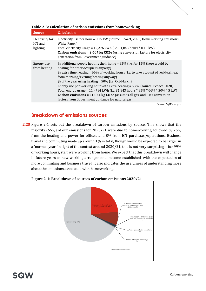| <b>Source</b>                          | <b>Calculation</b>                                                                                                                                                                                                                                                                                                                                                                                                                                                                                                                                                                                                   |
|----------------------------------------|----------------------------------------------------------------------------------------------------------------------------------------------------------------------------------------------------------------------------------------------------------------------------------------------------------------------------------------------------------------------------------------------------------------------------------------------------------------------------------------------------------------------------------------------------------------------------------------------------------------------|
| Electricity for<br>ICT and<br>lighting | Electricity use per hour = 0.15 kW (source: Ecoact, 2020, Homeworking emissions<br>White Paper)<br>Total electricity usage = $12,276$ kWh (i.e. 81,843 hours $*$ 0.15 kW)<br><b>Carbon emissions = 2,607 kg CO2e</b> (using conversion factors for electricity<br>generation from Government guidance)                                                                                                                                                                                                                                                                                                               |
| Energy use<br>from heating             | % additional people heating their home = $85\%$ (i.e. for 15% there would be<br>heating for other occupiers anyway)<br>% extra time heating = 66% of working hours (i.e. to take account of residual heat<br>from morning/evening heating anyway)<br>% of the year using heating = $50\%$ (i.e. Oct-March)<br>Energy use per working hour with extra heating $=$ 5 kW (source: Ecoact, 2020)<br>Total energy usage = 114,784 kWh (i.e. 81,843 hours * 85% * 66% * 50% * 5 kW)<br><b>Carbon emissions = 21,024 kg CO2e</b> (assumes all gas, and uses conversion<br>factors from Government guidance for natural gas) |
|                                        | Source: SQW analysis                                                                                                                                                                                                                                                                                                                                                                                                                                                                                                                                                                                                 |

#### <span id="page-8-0"></span>**Table 2-3: Calculation of carbon emissions from homeworking**

#### **Breakdown of emissions sources**

**2.20** [Figure 2-1](#page-8-1) sets out the breakdown of carbon emissions by source. This shows that the majority (65%) of our emissions for 2020/21 were due to homeworking, followed by 25% from the heating and power for offices, and 8% from ICT purchases/operations. Business travel and commuting made up around 1% in total, though would be expected to be larger in a 'normal' year. In light of the context around 2020/21, this is not very surprising – for 99% of working hours, staff were working from home. We expect that this breakdown will change in future years as new working arrangements become established, with the expectation of more commuting and business travel. It also indicates the usefulness of understanding more about the emissions associated with homeworking.



<span id="page-8-1"></span>**Figure 2-1: Breakdown of sources of carbon emissions 2020/21**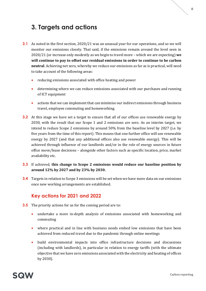## <span id="page-9-0"></span>**3. Targets and actions**

- **3.1** As noted in the first section, 2020/21 was an unusual year for our operations, and so we will monitor our emissions closely. That said, if the emissions remain around the level seen in 2020/21 (or increase only modestly as we begin to travel more – which we are expecting) **we will continue to pay to offset our residual emissions in order to continue to be carbon neutral**. Achieving net zero, whereby we reduce our emissions as far as is practical, will need to take account of the following areas:
	- reducing emissions associated with office heating and power
	- determining where we can reduce emissions associated with our purchases and running of ICT equipment
	- actions that we can implement that can minimise our indirect emissions through business travel, employee commuting and homeworking.
- **3.2** At this stage we have set a target to ensure that all of our offices use renewable energy by 2030, with the result that our Scope 1 and 2 emissions are zero. As an interim target, we intend to reduce Scope 2 emissions by around 50% from the baseline level by 2027 (i.e. by five years from the time of this report). This means that one further office will use renewable energy by 2027 (and that any additional offices also use renewable energy). This will be achieved through influence of our landlords and/or in the role of energy sources in future office move/lease decisions – alongside other factors such as specific location, price, market availability etc.
- **3.3** If achieved, **this change to Scope 2 emissions would reduce our baseline position by around 12% by 2027 and by 23% by 2030.**
- **3.4** Targets in relation to Scope 3 emissions will be set when we have more data on our emissions once new working arrangements are established.

#### **Key actions for 2021 and 2022**

- **3.5** The priority actions for us for the coming period are to:
	- undertake a more in-depth analysis of emissions associated with homeworking and commuting
	- where practical and in line with business needs embed low emissions that have been achieved from reduced travel due to the pandemic through online meetings
	- build environmental impacts into office infrastructure decisions and discussions (including with landlords), in particular in relation to energy tariffs (with the ultimate objective that we have zero emissions associated with the electricity and heating of offices by 2030).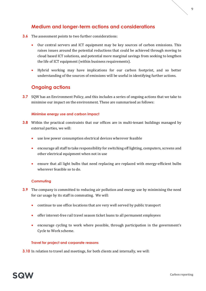#### **Medium and longer-term actions and considerations**

- **3.6** The assessment points to two further considerations:
	- Our central servers and ICT equipment may be key sources of carbon emissions. This raises issues around the potential reductions that could be achieved through moving to cloud based ICT solutions, and potential more marginal savings from seeking to lengthen the life of ICT equipment (within business requirements).
	- Hybrid working may have implications for our carbon footprint, and so better understanding of the sources of emissions will be useful in identifying further actions.

#### **Ongoing actions**

**3.7** SOW has an Environment Policy, and this includes a series of ongoing actions that we take to minimise our impact on the environment. These are summarised as follows:

#### **Minimise energy use and carbon impact**

- **3.8** Within the practical constraints that our offices are in multi-tenant buildings managed by external parties, we will:
	- use low power consumption electrical devices wherever feasible
	- encourage all staff to take responsibility for switching off lighting, computers, screens and other electrical equipment when not in use
	- ensure that all light bulbs that need replacing are replaced with energy-efficient bulbs wherever feasible so to do.

#### **Commuting**

- **3.9** The company is committed to reducing air pollution and energy use by minimising the need for car usage by its staff in commuting. We will:
	- continue to use office locations that are very well served by public transport
	- offer interest-free rail travel season ticket loans to all permanent employees
	- encourage cycling to work where possible, through participation in the government's Cycle to Work scheme.

#### **Travel for project and corporate reasons**

**3.10** In relation to travel and meetings, for both clients and internally, we will: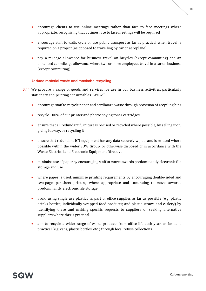- 10
- encourage clients to use online meetings rather than face to face meetings where appropriate, recognising that at times face to face meetings will be required
- encourage staff to walk, cycle or use public transport as far as practical when travel is required on a project (as opposed to travelling by car or aeroplane)
- pay a mileage allowance for business travel on bicycles (except commuting) and an enhanced car mileage allowance where two or more employees travel in a car on business (except commuting).

#### **Reduce material waste and maximise recycling**

- **3.11** We procure a range of goods and services for use in our business activities, particularly stationery and printing consumables. We will:
	- encourage staff to recycle paper and cardboard waste through provision of recycling bins
	- recycle 100% of our printer and photocopying toner cartridges
	- ensure that all redundant furniture is re-used or recycled where possible, by selling it on, giving it away, or recycling it
	- ensure that redundant ICT equipment has any data securely wiped, and is re-used where possible within the wider SQW Group, or otherwise disposed of in accordance with the Waste Electrical and Electronic Equipment Directive
	- minimise use of paper by encouraging staff to move towards predominantly electronic file storage and use
	- where paper is used, minimise printing requirements by encouraging double-sided and two-pages-per-sheet printing where appropriate and continuing to move towards predominantly electronic file storage
	- avoid using single use plastics as part of office supplies as far as possible (e.g. plastic drinks bottles; individually wrapped food products; and plastic straws and cutlery) by identifying these and making specific requests to suppliers or seeking alternative suppliers where this is practical
	- aim to recycle a wider range of waste products from office life each year, as far as is practical (e.g. cans, plastic bottles, etc.) through local refuse collections.